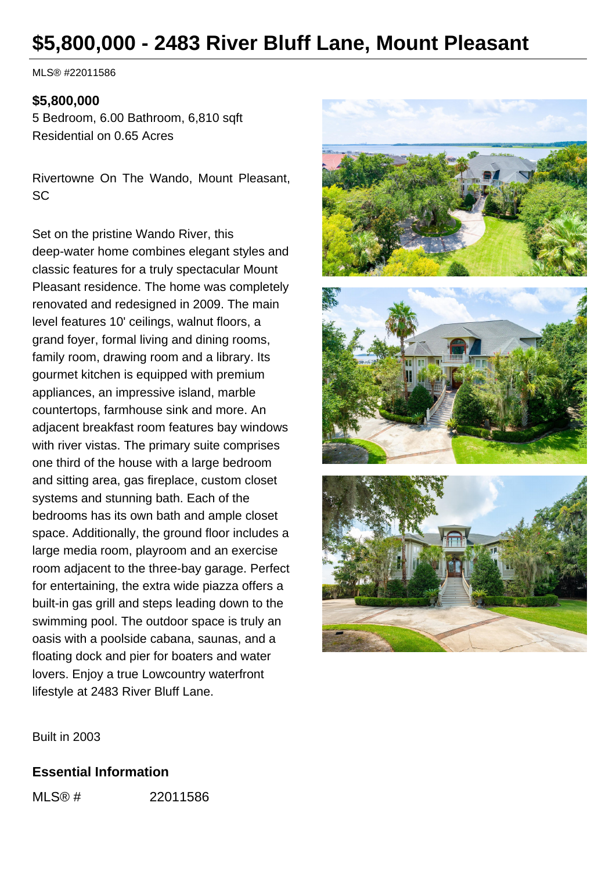# **\$5,800,000 - 2483 River Bluff Lane, Mount Pleasant**

MLS® #22011586

### **\$5,800,000**

5 Bedroom, 6.00 Bathroom, 6,810 sqft Residential on 0.65 Acres

Rivertowne On The Wando, Mount Pleasant, SC

Set on the pristine Wando River, this deep-water home combines elegant styles and classic features for a truly spectacular Mount Pleasant residence. The home was completely renovated and redesigned in 2009. The main level features 10' ceilings, walnut floors, a grand foyer, formal living and dining rooms, family room, drawing room and a library. Its gourmet kitchen is equipped with premium appliances, an impressive island, marble countertops, farmhouse sink and more. An adjacent breakfast room features bay windows with river vistas. The primary suite comprises one third of the house with a large bedroom and sitting area, gas fireplace, custom closet systems and stunning bath. Each of the bedrooms has its own bath and ample closet space. Additionally, the ground floor includes a large media room, playroom and an exercise room adjacent to the three-bay garage. Perfect for entertaining, the extra wide piazza offers a built-in gas grill and steps leading down to the swimming pool. The outdoor space is truly an oasis with a poolside cabana, saunas, and a floating dock and pier for boaters and water lovers. Enjoy a true Lowcountry waterfront lifestyle at 2483 River Bluff Lane.



Built in 2003

#### **Essential Information**

MLS® # 22011586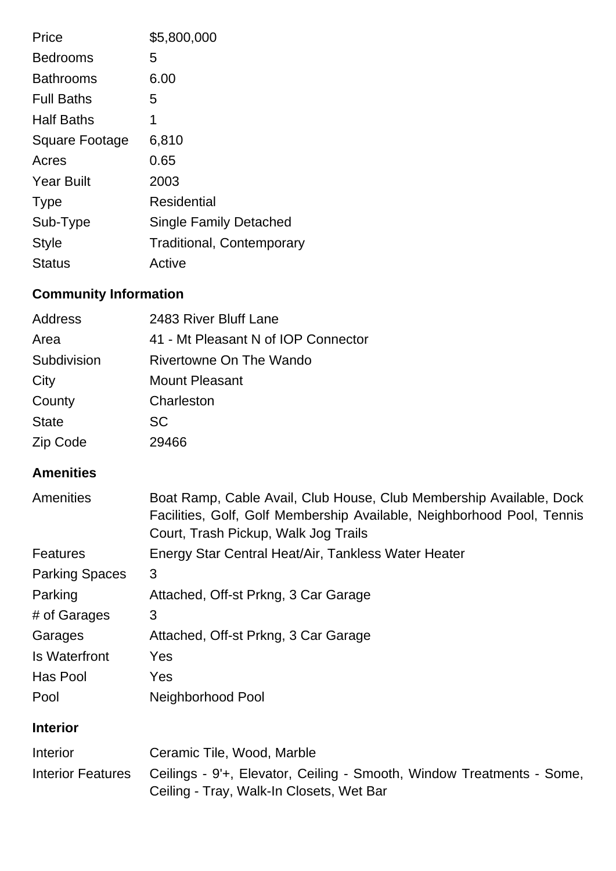| Price                 | \$5,800,000                      |
|-----------------------|----------------------------------|
| <b>Bedrooms</b>       | 5                                |
| <b>Bathrooms</b>      | 6.00                             |
| <b>Full Baths</b>     | 5                                |
| <b>Half Baths</b>     | 1                                |
| <b>Square Footage</b> | 6,810                            |
| Acres                 | 0.65                             |
| <b>Year Built</b>     | 2003                             |
| <b>Type</b>           | Residential                      |
| Sub-Type              | <b>Single Family Detached</b>    |
| <b>Style</b>          | <b>Traditional, Contemporary</b> |
| <b>Status</b>         | Active                           |

## **Community Information**

| Address      | 2483 River Bluff Lane               |
|--------------|-------------------------------------|
| Area         | 41 - Mt Pleasant N of IOP Connector |
| Subdivision  | <b>Rivertowne On The Wando</b>      |
| City         | Mount Pleasant                      |
| County       | Charleston                          |
| <b>State</b> | <b>SC</b>                           |
| Zip Code     | 29466                               |

## **Amenities**

| Amenities             | Boat Ramp, Cable Avail, Club House, Club Membership Available, Dock<br>Facilities, Golf, Golf Membership Available, Neighborhood Pool, Tennis<br>Court, Trash Pickup, Walk Jog Trails |
|-----------------------|---------------------------------------------------------------------------------------------------------------------------------------------------------------------------------------|
| <b>Features</b>       | Energy Star Central Heat/Air, Tankless Water Heater                                                                                                                                   |
| <b>Parking Spaces</b> | 3                                                                                                                                                                                     |
| Parking               | Attached, Off-st Prkng, 3 Car Garage                                                                                                                                                  |
| # of Garages          | 3                                                                                                                                                                                     |
| Garages               | Attached, Off-st Prkng, 3 Car Garage                                                                                                                                                  |
| <b>Is Waterfront</b>  | <b>Yes</b>                                                                                                                                                                            |
| Has Pool              | Yes                                                                                                                                                                                   |
| Pool                  | Neighborhood Pool                                                                                                                                                                     |
| <b>Interior</b>       |                                                                                                                                                                                       |
| <b>Information</b>    | $C_{\alpha}$ comin Tile $M_{\alpha}$ od $M_{\alpha}$ rblo                                                                                                                             |

| Interior | Ceramic Tile, Wood, Marble                                                              |
|----------|-----------------------------------------------------------------------------------------|
|          | Interior Features Ceilings - 9'+, Elevator, Ceiling - Smooth, Window Treatments - Some, |
|          | Ceiling - Tray, Walk-In Closets, Wet Bar                                                |